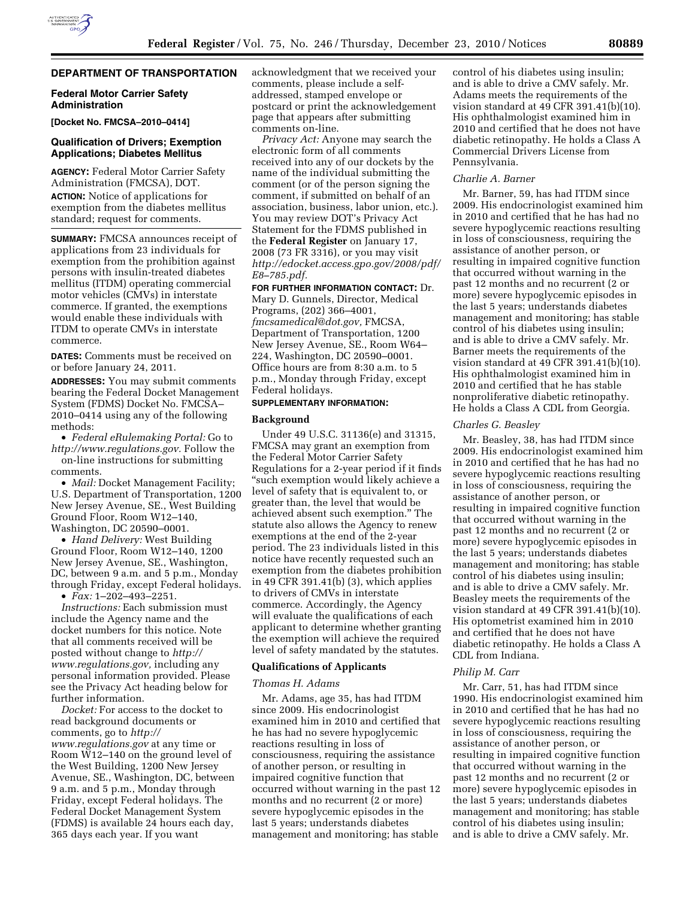

# **DEPARTMENT OF TRANSPORTATION**

### **Federal Motor Carrier Safety Administration**

**[Docket No. FMCSA–2010–0414]** 

# **Qualification of Drivers; Exemption Applications; Diabetes Mellitus**

**AGENCY:** Federal Motor Carrier Safety Administration (FMCSA), DOT. **ACTION:** Notice of applications for

exemption from the diabetes mellitus standard; request for comments.

**SUMMARY:** FMCSA announces receipt of applications from 23 individuals for exemption from the prohibition against persons with insulin-treated diabetes mellitus (ITDM) operating commercial motor vehicles (CMVs) in interstate commerce. If granted, the exemptions would enable these individuals with ITDM to operate CMVs in interstate commerce.

**DATES:** Comments must be received on or before January 24, 2011.

**ADDRESSES:** You may submit comments bearing the Federal Docket Management System (FDMS) Docket No. FMCSA– 2010–0414 using any of the following methods:

• *Federal eRulemaking Portal:* Go to *[http://www.regulations.gov.](http://www.regulations.gov)* Follow the

on-line instructions for submitting comments.

• *Mail:* Docket Management Facility; U.S. Department of Transportation, 1200 New Jersey Avenue, SE., West Building Ground Floor, Room W12–140, Washington, DC 20590–0001.

• *Hand Delivery:* West Building Ground Floor, Room W12–140, 1200 New Jersey Avenue, SE., Washington, DC, between 9 a.m. and 5 p.m., Monday through Friday, except Federal holidays.

• *Fax:* 1–202–493–2251.

*Instructions:* Each submission must include the Agency name and the docket numbers for this notice. Note that all comments received will be posted without change to *[http://](http://www.regulations.gov) [www.regulations.gov,](http://www.regulations.gov)* including any personal information provided. Please see the Privacy Act heading below for further information.

*Docket:* For access to the docket to read background documents or comments, go to *[http://](http://www.regulations.gov) [www.regulations.gov](http://www.regulations.gov)* at any time or Room W12–140 on the ground level of the West Building, 1200 New Jersey Avenue, SE., Washington, DC, between 9 a.m. and 5 p.m., Monday through Friday, except Federal holidays. The Federal Docket Management System (FDMS) is available 24 hours each day, 365 days each year. If you want

acknowledgment that we received your comments, please include a selfaddressed, stamped envelope or postcard or print the acknowledgement page that appears after submitting comments on-line.

*Privacy Act:* Anyone may search the electronic form of all comments received into any of our dockets by the name of the individual submitting the comment (or of the person signing the comment, if submitted on behalf of an association, business, labor union, etc.). You may review DOT's Privacy Act Statement for the FDMS published in the **Federal Register** on January 17, 2008 (73 FR 3316), or you may visit *[http://edocket.access.gpo.gov/2008/pdf/](http://edocket.access.gpo.gov/2008/pdf/E8-785.pdf) [E8–785.pdf.](http://edocket.access.gpo.gov/2008/pdf/E8-785.pdf)* 

**FOR FURTHER INFORMATION CONTACT:** Dr. Mary D. Gunnels, Director, Medical Programs, (202) 366–4001, *[fmcsamedical@dot.gov,](mailto:fmcsamedical@dot.gov)* FMCSA,

Department of Transportation, 1200 New Jersey Avenue, SE., Room W64– 224, Washington, DC 20590–0001. Office hours are from 8:30 a.m. to 5 p.m., Monday through Friday, except Federal holidays.

### **SUPPLEMENTARY INFORMATION:**

#### **Background**

Under 49 U.S.C. 31136(e) and 31315, FMCSA may grant an exemption from the Federal Motor Carrier Safety Regulations for a 2-year period if it finds ''such exemption would likely achieve a level of safety that is equivalent to, or greater than, the level that would be achieved absent such exemption.'' The statute also allows the Agency to renew exemptions at the end of the 2-year period. The 23 individuals listed in this notice have recently requested such an exemption from the diabetes prohibition in 49 CFR 391.41(b) (3), which applies to drivers of CMVs in interstate commerce. Accordingly, the Agency will evaluate the qualifications of each applicant to determine whether granting the exemption will achieve the required level of safety mandated by the statutes.

### **Qualifications of Applicants**

### *Thomas H. Adams*

Mr. Adams, age 35, has had ITDM since 2009. His endocrinologist examined him in 2010 and certified that he has had no severe hypoglycemic reactions resulting in loss of consciousness, requiring the assistance of another person, or resulting in impaired cognitive function that occurred without warning in the past 12 months and no recurrent (2 or more) severe hypoglycemic episodes in the last 5 years; understands diabetes management and monitoring; has stable

control of his diabetes using insulin; and is able to drive a CMV safely. Mr. Adams meets the requirements of the vision standard at 49 CFR 391.41(b)(10). His ophthalmologist examined him in 2010 and certified that he does not have diabetic retinopathy. He holds a Class A Commercial Drivers License from Pennsylvania.

#### *Charlie A. Barner*

Mr. Barner, 59, has had ITDM since 2009. His endocrinologist examined him in 2010 and certified that he has had no severe hypoglycemic reactions resulting in loss of consciousness, requiring the assistance of another person, or resulting in impaired cognitive function that occurred without warning in the past 12 months and no recurrent (2 or more) severe hypoglycemic episodes in the last 5 years; understands diabetes management and monitoring; has stable control of his diabetes using insulin; and is able to drive a CMV safely. Mr. Barner meets the requirements of the vision standard at 49 CFR 391.41(b)(10). His ophthalmologist examined him in 2010 and certified that he has stable nonproliferative diabetic retinopathy. He holds a Class A CDL from Georgia.

### *Charles G. Beasley*

Mr. Beasley, 38, has had ITDM since 2009. His endocrinologist examined him in 2010 and certified that he has had no severe hypoglycemic reactions resulting in loss of consciousness, requiring the assistance of another person, or resulting in impaired cognitive function that occurred without warning in the past 12 months and no recurrent (2 or more) severe hypoglycemic episodes in the last 5 years; understands diabetes management and monitoring; has stable control of his diabetes using insulin; and is able to drive a CMV safely. Mr. Beasley meets the requirements of the vision standard at 49 CFR 391.41(b)(10). His optometrist examined him in 2010 and certified that he does not have diabetic retinopathy. He holds a Class A CDL from Indiana.

### *Philip M. Carr*

Mr. Carr, 51, has had ITDM since 1990. His endocrinologist examined him in 2010 and certified that he has had no severe hypoglycemic reactions resulting in loss of consciousness, requiring the assistance of another person, or resulting in impaired cognitive function that occurred without warning in the past 12 months and no recurrent (2 or more) severe hypoglycemic episodes in the last 5 years; understands diabetes management and monitoring; has stable control of his diabetes using insulin; and is able to drive a CMV safely. Mr.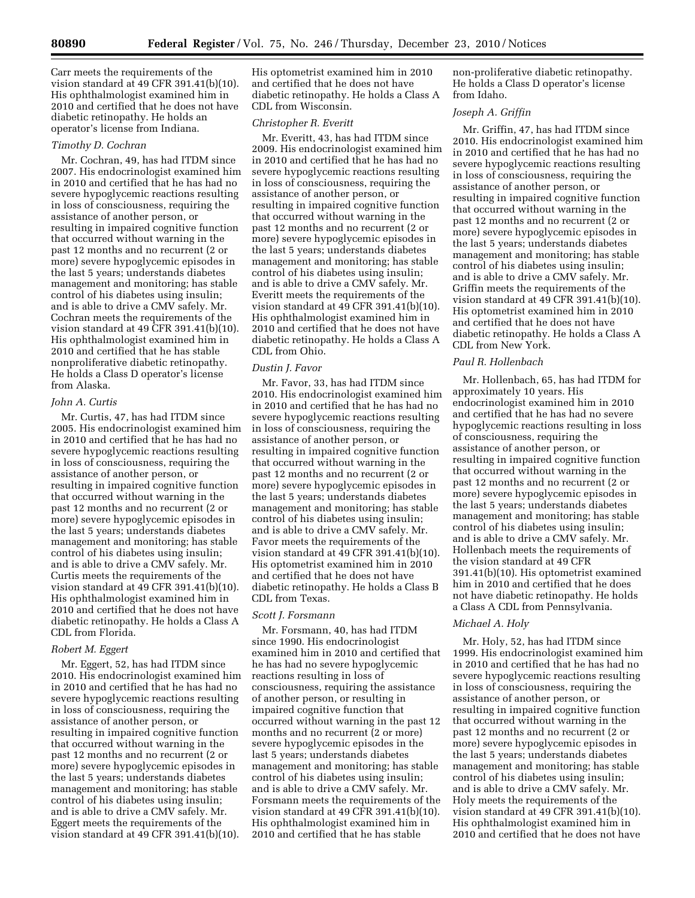Carr meets the requirements of the vision standard at 49 CFR 391.41(b)(10). His ophthalmologist examined him in 2010 and certified that he does not have diabetic retinopathy. He holds an operator's license from Indiana.

#### *Timothy D. Cochran*

Mr. Cochran, 49, has had ITDM since 2007. His endocrinologist examined him in 2010 and certified that he has had no severe hypoglycemic reactions resulting in loss of consciousness, requiring the assistance of another person, or resulting in impaired cognitive function that occurred without warning in the past 12 months and no recurrent (2 or more) severe hypoglycemic episodes in the last 5 years; understands diabetes management and monitoring; has stable control of his diabetes using insulin; and is able to drive a CMV safely. Mr. Cochran meets the requirements of the vision standard at 49 CFR 391.41(b)(10). His ophthalmologist examined him in 2010 and certified that he has stable nonproliferative diabetic retinopathy. He holds a Class D operator's license from Alaska.

# *John A. Curtis*

Mr. Curtis, 47, has had ITDM since 2005. His endocrinologist examined him in 2010 and certified that he has had no severe hypoglycemic reactions resulting in loss of consciousness, requiring the assistance of another person, or resulting in impaired cognitive function that occurred without warning in the past 12 months and no recurrent (2 or more) severe hypoglycemic episodes in the last 5 years; understands diabetes management and monitoring; has stable control of his diabetes using insulin; and is able to drive a CMV safely. Mr. Curtis meets the requirements of the vision standard at 49 CFR 391.41(b)(10). His ophthalmologist examined him in 2010 and certified that he does not have diabetic retinopathy. He holds a Class A CDL from Florida.

### *Robert M. Eggert*

Mr. Eggert, 52, has had ITDM since 2010. His endocrinologist examined him in 2010 and certified that he has had no severe hypoglycemic reactions resulting in loss of consciousness, requiring the assistance of another person, or resulting in impaired cognitive function that occurred without warning in the past 12 months and no recurrent (2 or more) severe hypoglycemic episodes in the last 5 years; understands diabetes management and monitoring; has stable control of his diabetes using insulin; and is able to drive a CMV safely. Mr. Eggert meets the requirements of the vision standard at 49 CFR 391.41(b)(10).

His optometrist examined him in 2010 and certified that he does not have diabetic retinopathy. He holds a Class A CDL from Wisconsin.

### *Christopher R. Everitt*

Mr. Everitt, 43, has had ITDM since 2009. His endocrinologist examined him in 2010 and certified that he has had no severe hypoglycemic reactions resulting in loss of consciousness, requiring the assistance of another person, or resulting in impaired cognitive function that occurred without warning in the past 12 months and no recurrent (2 or more) severe hypoglycemic episodes in the last 5 years; understands diabetes management and monitoring; has stable control of his diabetes using insulin; and is able to drive a CMV safely. Mr. Everitt meets the requirements of the vision standard at 49 CFR 391.41(b)(10). His ophthalmologist examined him in 2010 and certified that he does not have diabetic retinopathy. He holds a Class A CDL from Ohio.

### *Dustin J. Favor*

Mr. Favor, 33, has had ITDM since 2010. His endocrinologist examined him in 2010 and certified that he has had no severe hypoglycemic reactions resulting in loss of consciousness, requiring the assistance of another person, or resulting in impaired cognitive function that occurred without warning in the past 12 months and no recurrent (2 or more) severe hypoglycemic episodes in the last 5 years; understands diabetes management and monitoring; has stable control of his diabetes using insulin; and is able to drive a CMV safely. Mr. Favor meets the requirements of the vision standard at 49 CFR 391.41(b)(10). His optometrist examined him in 2010 and certified that he does not have diabetic retinopathy. He holds a Class B CDL from Texas.

# *Scott J. Forsmann*

Mr. Forsmann, 40, has had ITDM since 1990. His endocrinologist examined him in 2010 and certified that he has had no severe hypoglycemic reactions resulting in loss of consciousness, requiring the assistance of another person, or resulting in impaired cognitive function that occurred without warning in the past 12 months and no recurrent (2 or more) severe hypoglycemic episodes in the last 5 years; understands diabetes management and monitoring; has stable control of his diabetes using insulin; and is able to drive a CMV safely. Mr. Forsmann meets the requirements of the vision standard at 49 CFR 391.41(b)(10). His ophthalmologist examined him in 2010 and certified that he has stable

non-proliferative diabetic retinopathy. He holds a Class D operator's license from Idaho.

# *Joseph A. Griffin*

Mr. Griffin, 47, has had ITDM since 2010. His endocrinologist examined him in 2010 and certified that he has had no severe hypoglycemic reactions resulting in loss of consciousness, requiring the assistance of another person, or resulting in impaired cognitive function that occurred without warning in the past 12 months and no recurrent (2 or more) severe hypoglycemic episodes in the last 5 years; understands diabetes management and monitoring; has stable control of his diabetes using insulin; and is able to drive a CMV safely. Mr. Griffin meets the requirements of the vision standard at 49 CFR 391.41(b)(10). His optometrist examined him in 2010 and certified that he does not have diabetic retinopathy. He holds a Class A CDL from New York.

### *Paul R. Hollenbach*

Mr. Hollenbach, 65, has had ITDM for approximately 10 years. His endocrinologist examined him in 2010 and certified that he has had no severe hypoglycemic reactions resulting in loss of consciousness, requiring the assistance of another person, or resulting in impaired cognitive function that occurred without warning in the past 12 months and no recurrent (2 or more) severe hypoglycemic episodes in the last 5 years; understands diabetes management and monitoring; has stable control of his diabetes using insulin; and is able to drive a CMV safely. Mr. Hollenbach meets the requirements of the vision standard at 49 CFR 391.41(b)(10). His optometrist examined him in 2010 and certified that he does not have diabetic retinopathy. He holds a Class A CDL from Pennsylvania.

### *Michael A. Holy*

Mr. Holy, 52, has had ITDM since 1999. His endocrinologist examined him in 2010 and certified that he has had no severe hypoglycemic reactions resulting in loss of consciousness, requiring the assistance of another person, or resulting in impaired cognitive function that occurred without warning in the past 12 months and no recurrent (2 or more) severe hypoglycemic episodes in the last 5 years; understands diabetes management and monitoring; has stable control of his diabetes using insulin; and is able to drive a CMV safely. Mr. Holy meets the requirements of the vision standard at 49 CFR 391.41(b)(10). His ophthalmologist examined him in 2010 and certified that he does not have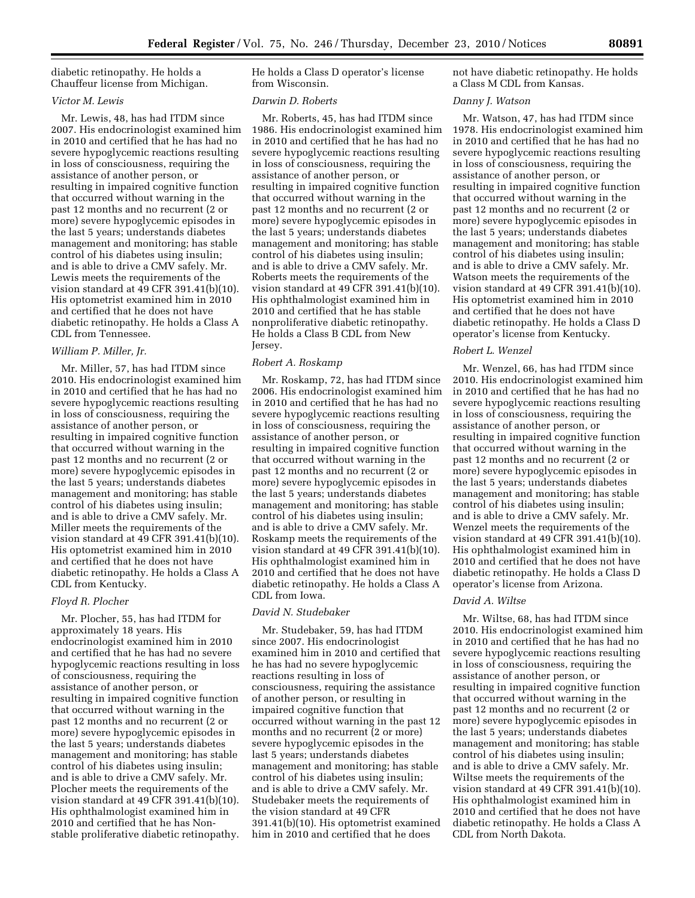diabetic retinopathy. He holds a Chauffeur license from Michigan.

# *Victor M. Lewis*

Mr. Lewis, 48, has had ITDM since 2007. His endocrinologist examined him in 2010 and certified that he has had no severe hypoglycemic reactions resulting in loss of consciousness, requiring the assistance of another person, or resulting in impaired cognitive function that occurred without warning in the past 12 months and no recurrent (2 or more) severe hypoglycemic episodes in the last 5 years; understands diabetes management and monitoring; has stable control of his diabetes using insulin; and is able to drive a CMV safely. Mr. Lewis meets the requirements of the vision standard at 49 CFR 391.41(b)(10). His optometrist examined him in 2010 and certified that he does not have diabetic retinopathy. He holds a Class A CDL from Tennessee.

#### *William P. Miller, Jr.*

Mr. Miller, 57, has had ITDM since 2010. His endocrinologist examined him in 2010 and certified that he has had no severe hypoglycemic reactions resulting in loss of consciousness, requiring the assistance of another person, or resulting in impaired cognitive function that occurred without warning in the past 12 months and no recurrent (2 or more) severe hypoglycemic episodes in the last 5 years; understands diabetes management and monitoring; has stable control of his diabetes using insulin; and is able to drive a CMV safely. Mr. Miller meets the requirements of the vision standard at 49 CFR 391.41(b)(10). His optometrist examined him in 2010 and certified that he does not have diabetic retinopathy. He holds a Class A CDL from Kentucky.

# *Floyd R. Plocher*

Mr. Plocher, 55, has had ITDM for approximately 18 years. His endocrinologist examined him in 2010 and certified that he has had no severe hypoglycemic reactions resulting in loss of consciousness, requiring the assistance of another person, or resulting in impaired cognitive function that occurred without warning in the past 12 months and no recurrent (2 or more) severe hypoglycemic episodes in the last 5 years; understands diabetes management and monitoring; has stable control of his diabetes using insulin; and is able to drive a CMV safely. Mr. Plocher meets the requirements of the vision standard at 49 CFR 391.41(b)(10). His ophthalmologist examined him in 2010 and certified that he has Nonstable proliferative diabetic retinopathy.

He holds a Class D operator's license from Wisconsin.

### *Darwin D. Roberts*

Mr. Roberts, 45, has had ITDM since 1986. His endocrinologist examined him in 2010 and certified that he has had no severe hypoglycemic reactions resulting in loss of consciousness, requiring the assistance of another person, or resulting in impaired cognitive function that occurred without warning in the past 12 months and no recurrent (2 or more) severe hypoglycemic episodes in the last 5 years; understands diabetes management and monitoring; has stable control of his diabetes using insulin; and is able to drive a CMV safely. Mr. Roberts meets the requirements of the vision standard at 49 CFR 391.41(b)(10). His ophthalmologist examined him in 2010 and certified that he has stable nonproliferative diabetic retinopathy. He holds a Class B CDL from New Jersey.

### *Robert A. Roskamp*

Mr. Roskamp, 72, has had ITDM since 2006. His endocrinologist examined him in 2010 and certified that he has had no severe hypoglycemic reactions resulting in loss of consciousness, requiring the assistance of another person, or resulting in impaired cognitive function that occurred without warning in the past 12 months and no recurrent (2 or more) severe hypoglycemic episodes in the last 5 years; understands diabetes management and monitoring; has stable control of his diabetes using insulin; and is able to drive a CMV safely. Mr. Roskamp meets the requirements of the vision standard at 49 CFR 391.41(b)(10). His ophthalmologist examined him in 2010 and certified that he does not have diabetic retinopathy. He holds a Class A CDL from Iowa.

# *David N. Studebaker*

Mr. Studebaker, 59, has had ITDM since 2007. His endocrinologist examined him in 2010 and certified that he has had no severe hypoglycemic reactions resulting in loss of consciousness, requiring the assistance of another person, or resulting in impaired cognitive function that occurred without warning in the past 12 months and no recurrent (2 or more) severe hypoglycemic episodes in the last 5 years; understands diabetes management and monitoring; has stable control of his diabetes using insulin; and is able to drive a CMV safely. Mr. Studebaker meets the requirements of the vision standard at 49 CFR 391.41(b)(10). His optometrist examined him in 2010 and certified that he does

not have diabetic retinopathy. He holds a Class M CDL from Kansas.

# *Danny J. Watson*

Mr. Watson, 47, has had ITDM since 1978. His endocrinologist examined him in 2010 and certified that he has had no severe hypoglycemic reactions resulting in loss of consciousness, requiring the assistance of another person, or resulting in impaired cognitive function that occurred without warning in the past 12 months and no recurrent (2 or more) severe hypoglycemic episodes in the last 5 years; understands diabetes management and monitoring; has stable control of his diabetes using insulin; and is able to drive a CMV safely. Mr. Watson meets the requirements of the vision standard at 49 CFR 391.41(b)(10). His optometrist examined him in 2010 and certified that he does not have diabetic retinopathy. He holds a Class D operator's license from Kentucky.

#### *Robert L. Wenzel*

Mr. Wenzel, 66, has had ITDM since 2010. His endocrinologist examined him in 2010 and certified that he has had no severe hypoglycemic reactions resulting in loss of consciousness, requiring the assistance of another person, or resulting in impaired cognitive function that occurred without warning in the past 12 months and no recurrent (2 or more) severe hypoglycemic episodes in the last 5 years; understands diabetes management and monitoring; has stable control of his diabetes using insulin; and is able to drive a CMV safely. Mr. Wenzel meets the requirements of the vision standard at 49 CFR 391.41(b)(10). His ophthalmologist examined him in 2010 and certified that he does not have diabetic retinopathy. He holds a Class D operator's license from Arizona.

### *David A. Wiltse*

Mr. Wiltse, 68, has had ITDM since 2010. His endocrinologist examined him in 2010 and certified that he has had no severe hypoglycemic reactions resulting in loss of consciousness, requiring the assistance of another person, or resulting in impaired cognitive function that occurred without warning in the past 12 months and no recurrent (2 or more) severe hypoglycemic episodes in the last 5 years; understands diabetes management and monitoring; has stable control of his diabetes using insulin; and is able to drive a CMV safely. Mr. Wiltse meets the requirements of the vision standard at 49 CFR 391.41(b)(10). His ophthalmologist examined him in 2010 and certified that he does not have diabetic retinopathy. He holds a Class A CDL from North Dakota.